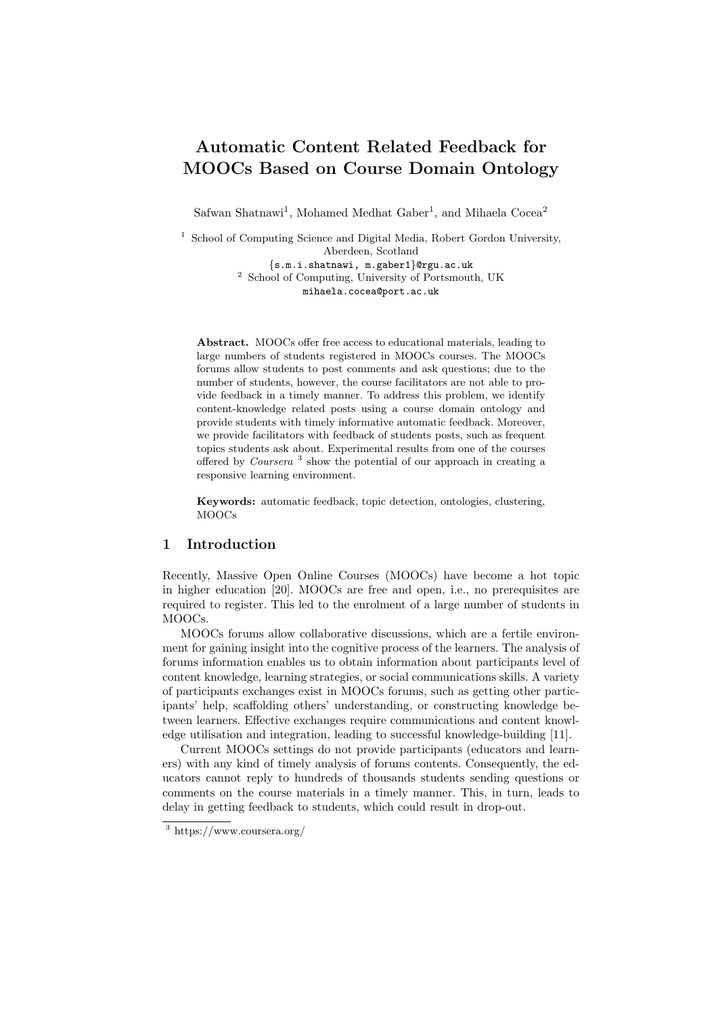# Automatic Content Related Feedback for MOOCs Based on Course Domain Ontology

Safwan Shatnawi<sup>1</sup>, Mohamed Medhat Gaber<sup>1</sup>, and Mihaela Cocea<sup>2</sup>

<sup>1</sup> School of Computing Science and Digital Media, Robert Gordon University, Aberdeen, Scotland

{s.m.i.shatnawi, m.gaber1}@rgu.ac.uk <sup>2</sup> School of Computing, University of Portsmouth, UK mihaela.cocea@port.ac.uk

Abstract. MOOCs offer free access to educational materials, leading to large numbers of students registered in MOOCs courses. The MOOCs forums allow students to post comments and ask questions; due to the number of students, however, the course facilitators are not able to provide feedback in a timely manner. To address this problem, we identify content-knowledge related posts using a course domain ontology and provide students with timely informative automatic feedback. Moreover, we provide facilitators with feedback of students posts, such as frequent topics students ask about. Experimental results from one of the courses offered by *Coursera*<sup>3</sup> show the potential of our approach in creating a responsive learning environment.

Keywords: automatic feedback, topic detection, ontologies, clustering, MOOCs

### 1 Introduction

Recently, Massive Open Online Courses (MOOCs) have become a hot topic in higher education [20]. MOOCs are free and open, i.e., no prerequisites are required to register. This led to the enrolment of a large number of students in MOOCs.

MOOCs forums allow collaborative discussions, which are a fertile environment for gaining insight into the cognitive process of the learners. The analysis of forums information enables us to obtain information about participants level of content knowledge, learning strategies, or social communications skills. A variety of participants exchanges exist in MOOCs forums, such as getting other participants' help, scaffolding others' understanding, or constructing knowledge between learners. Effective exchanges require communications and content knowledge utilisation and integration, leading to successful knowledge-building [11].

Current MOOCs settings do not provide participants (educators and learners) with any kind of timely analysis of forums contents. Consequently, the educators cannot reply to hundreds of thousands students sending questions or comments on the course materials in a timely manner. This, in turn, leads to delay in getting feedback to students, which could result in drop-out.

<sup>3</sup> https://www.coursera.org/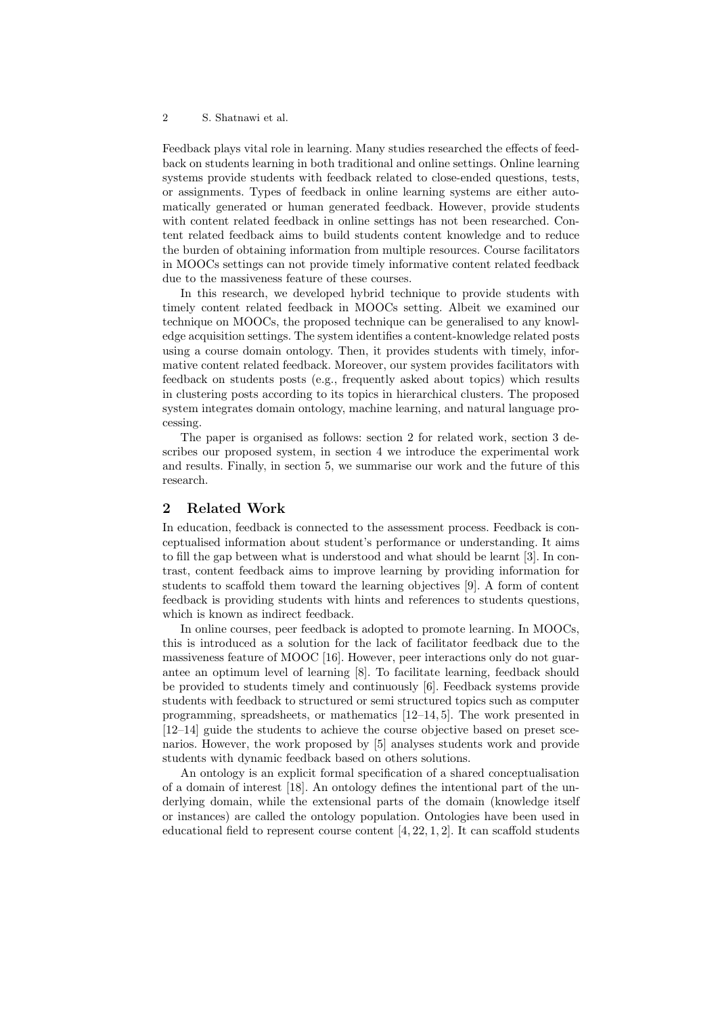#### 2 S. Shatnawi et al.

Feedback plays vital role in learning. Many studies researched the effects of feedback on students learning in both traditional and online settings. Online learning systems provide students with feedback related to close-ended questions, tests, or assignments. Types of feedback in online learning systems are either automatically generated or human generated feedback. However, provide students with content related feedback in online settings has not been researched. Content related feedback aims to build students content knowledge and to reduce the burden of obtaining information from multiple resources. Course facilitators in MOOCs settings can not provide timely informative content related feedback due to the massiveness feature of these courses.

In this research, we developed hybrid technique to provide students with timely content related feedback in MOOCs setting. Albeit we examined our technique on MOOCs, the proposed technique can be generalised to any knowledge acquisition settings. The system identifies a content-knowledge related posts using a course domain ontology. Then, it provides students with timely, informative content related feedback. Moreover, our system provides facilitators with feedback on students posts (e.g., frequently asked about topics) which results in clustering posts according to its topics in hierarchical clusters. The proposed system integrates domain ontology, machine learning, and natural language processing.

The paper is organised as follows: section 2 for related work, section 3 describes our proposed system, in section 4 we introduce the experimental work and results. Finally, in section 5, we summarise our work and the future of this research.

## 2 Related Work

In education, feedback is connected to the assessment process. Feedback is conceptualised information about student's performance or understanding. It aims to fill the gap between what is understood and what should be learnt [3]. In contrast, content feedback aims to improve learning by providing information for students to scaffold them toward the learning objectives [9]. A form of content feedback is providing students with hints and references to students questions, which is known as indirect feedback.

In online courses, peer feedback is adopted to promote learning. In MOOCs, this is introduced as a solution for the lack of facilitator feedback due to the massiveness feature of MOOC [16]. However, peer interactions only do not guarantee an optimum level of learning [8]. To facilitate learning, feedback should be provided to students timely and continuously [6]. Feedback systems provide students with feedback to structured or semi structured topics such as computer programming, spreadsheets, or mathematics [12–14, 5]. The work presented in [12–14] guide the students to achieve the course objective based on preset scenarios. However, the work proposed by [5] analyses students work and provide students with dynamic feedback based on others solutions.

An ontology is an explicit formal specification of a shared conceptualisation of a domain of interest [18]. An ontology defines the intentional part of the underlying domain, while the extensional parts of the domain (knowledge itself or instances) are called the ontology population. Ontologies have been used in educational field to represent course content  $[4, 22, 1, 2]$ . It can scaffold students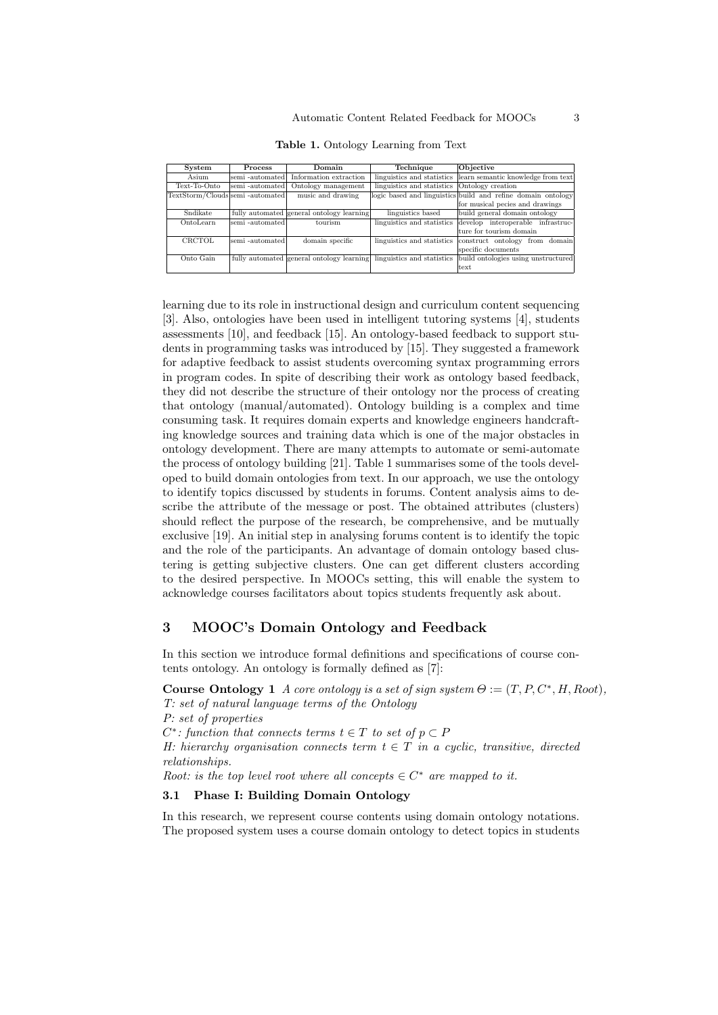| System                           | <b>Process</b>   | Domain                                                               | Technique                  | Objective                                                    |
|----------------------------------|------------------|----------------------------------------------------------------------|----------------------------|--------------------------------------------------------------|
| Asium                            | semi -automatedl | Information extraction                                               | linguistics and statistics | learn semantic knowledge from text                           |
| Text-To-Onto                     | semi -automated  | Ontology management                                                  | linguistics and statistics | Ontology creation                                            |
| TextStorm/Clouds semi -automated |                  | music and drawing                                                    |                            | logic based and linguistics build and refine domain ontology |
|                                  |                  |                                                                      |                            | for musical pecies and drawings                              |
| Sndikate                         |                  | fully automated general ontology learning                            | linguistics based          | build general domain ontology                                |
| OntoLearn                        | semi -automatedl | tourism                                                              | linguistics and statistics | develop interoperable infrastruc-                            |
|                                  |                  |                                                                      |                            | ture for tourism domain                                      |
| CRCTOL                           | semi -automated  | domain specific                                                      | linguistics and statistics | from domain<br>construct ontology                            |
|                                  |                  |                                                                      |                            | specific documents                                           |
| Onto Gain                        |                  | fully automated general ontology learning linguistics and statistics |                            | build ontologies using unstructured                          |
|                                  |                  |                                                                      |                            | ltext                                                        |

Table 1. Ontology Learning from Text

learning due to its role in instructional design and curriculum content sequencing [3]. Also, ontologies have been used in intelligent tutoring systems [4], students assessments [10], and feedback [15]. An ontology-based feedback to support students in programming tasks was introduced by [15]. They suggested a framework for adaptive feedback to assist students overcoming syntax programming errors in program codes. In spite of describing their work as ontology based feedback, they did not describe the structure of their ontology nor the process of creating that ontology (manual/automated). Ontology building is a complex and time consuming task. It requires domain experts and knowledge engineers handcrafting knowledge sources and training data which is one of the major obstacles in ontology development. There are many attempts to automate or semi-automate the process of ontology building [21]. Table 1 summarises some of the tools developed to build domain ontologies from text. In our approach, we use the ontology to identify topics discussed by students in forums. Content analysis aims to describe the attribute of the message or post. The obtained attributes (clusters) should reflect the purpose of the research, be comprehensive, and be mutually exclusive [19]. An initial step in analysing forums content is to identify the topic and the role of the participants. An advantage of domain ontology based clustering is getting subjective clusters. One can get different clusters according to the desired perspective. In MOOCs setting, this will enable the system to acknowledge courses facilitators about topics students frequently ask about.

# 3 MOOC's Domain Ontology and Feedback

In this section we introduce formal definitions and specifications of course contents ontology. An ontology is formally defined as [7]:

**Course Ontology 1** A core ontology is a set of sign system  $\Theta := (T, P, C^*, H, Root)$ , T: set of natural language terms of the Ontology P: set of properties  $C^*$ : function that connects terms  $t \in T$  to set of  $p \subset P$ H: hierarchy organisation connects term  $t \in T$  in a cyclic, transitive, directed relationships. Root: is the top level root where all concepts  $\in C^*$  are mapped to it.

## 3.1 Phase I: Building Domain Ontology

In this research, we represent course contents using domain ontology notations. The proposed system uses a course domain ontology to detect topics in students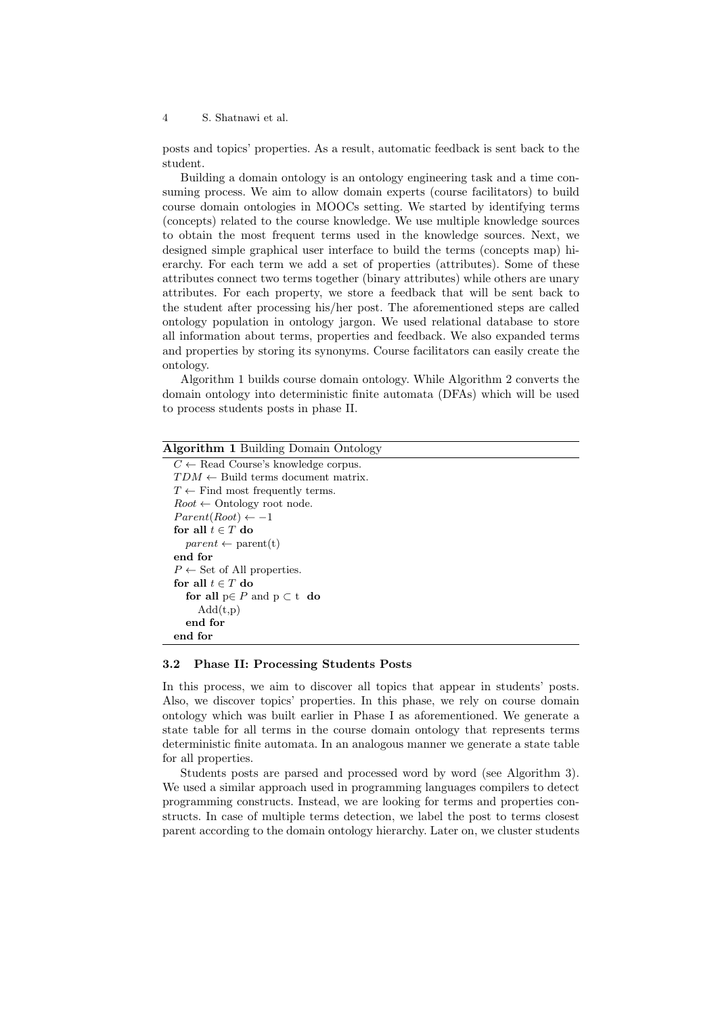4 S. Shatnawi et al.

posts and topics' properties. As a result, automatic feedback is sent back to the student.

Building a domain ontology is an ontology engineering task and a time consuming process. We aim to allow domain experts (course facilitators) to build course domain ontologies in MOOCs setting. We started by identifying terms (concepts) related to the course knowledge. We use multiple knowledge sources to obtain the most frequent terms used in the knowledge sources. Next, we designed simple graphical user interface to build the terms (concepts map) hierarchy. For each term we add a set of properties (attributes). Some of these attributes connect two terms together (binary attributes) while others are unary attributes. For each property, we store a feedback that will be sent back to the student after processing his/her post. The aforementioned steps are called ontology population in ontology jargon. We used relational database to store all information about terms, properties and feedback. We also expanded terms and properties by storing its synonyms. Course facilitators can easily create the ontology.

Algorithm 1 builds course domain ontology. While Algorithm 2 converts the domain ontology into deterministic finite automata (DFAs) which will be used to process students posts in phase II.

| <b>Algorithm 1 Building Domain Ontology</b>    |  |  |  |  |
|------------------------------------------------|--|--|--|--|
| $C \leftarrow$ Read Course's knowledge corpus. |  |  |  |  |
| $TDM \leftarrow$ Build terms document matrix.  |  |  |  |  |
| $T \leftarrow$ Find most frequently terms.     |  |  |  |  |
| $Root \leftarrow Ontology root node.$          |  |  |  |  |
| $Parent(Root) \leftarrow -1$                   |  |  |  |  |
| for all $t \in T$ do                           |  |  |  |  |
| $parent \leftarrow parent(t)$                  |  |  |  |  |
| end for                                        |  |  |  |  |
| $P \leftarrow$ Set of All properties.          |  |  |  |  |
| for all $t \in T$ do                           |  |  |  |  |
| for all $p \in P$ and $p \subset t$ do         |  |  |  |  |
| Add(t,p)                                       |  |  |  |  |
| end for                                        |  |  |  |  |
| end for                                        |  |  |  |  |

#### 3.2 Phase II: Processing Students Posts

In this process, we aim to discover all topics that appear in students' posts. Also, we discover topics' properties. In this phase, we rely on course domain ontology which was built earlier in Phase I as aforementioned. We generate a state table for all terms in the course domain ontology that represents terms deterministic finite automata. In an analogous manner we generate a state table for all properties.

Students posts are parsed and processed word by word (see Algorithm 3). We used a similar approach used in programming languages compilers to detect programming constructs. Instead, we are looking for terms and properties constructs. In case of multiple terms detection, we label the post to terms closest parent according to the domain ontology hierarchy. Later on, we cluster students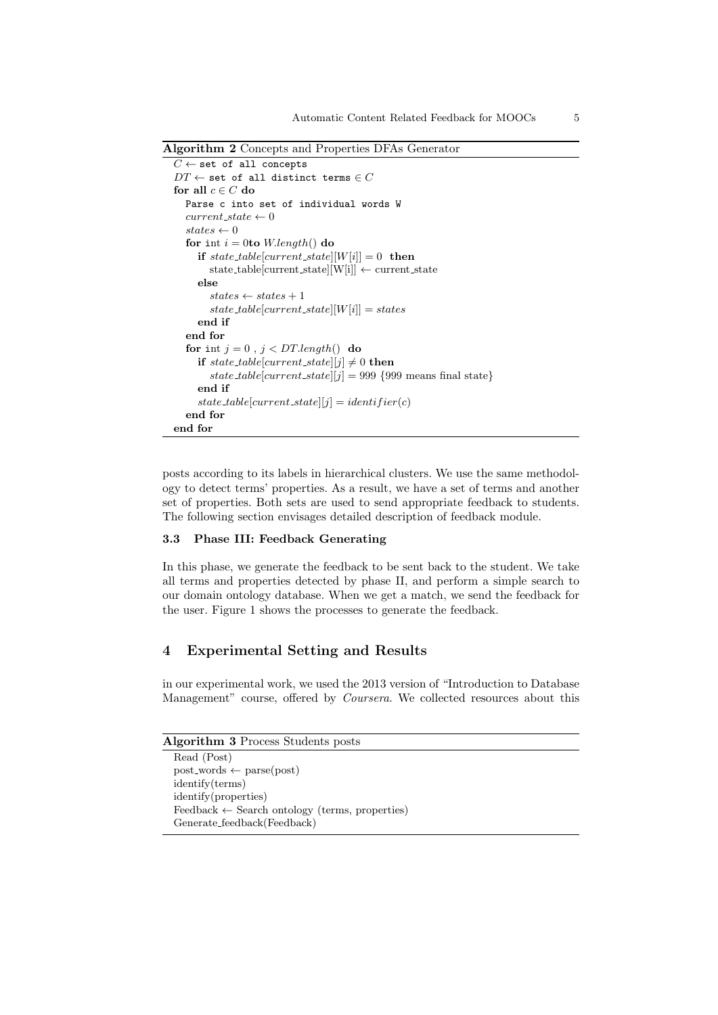Algorithm 2 Concepts and Properties DFAs Generator

```
C \leftarrow set of all concepts
DT \leftarrow set of all distinct terms \in Cfor all c \in C do
  Parse c into set of individual words W
  current\_state \leftarrow 0states \leftarrow 0for int i = 0to W.length() do
     if state_table[current_state][W[i]] = 0 then
        state\_table[current\_state][W[i]] \leftarrow current\_stateelse
        states \leftarrow states + 1state\_table[current\_state][W[i]] = statesend if
  end for
  for int j = 0, j < DT.length() do
     if state_table[current_state][j] \neq 0 then
        state_table[current_state][j] = 999 {999 means final state}
     end if
     state\_table[current\_state][j] = identifier(c)end for
end for
```
posts according to its labels in hierarchical clusters. We use the same methodology to detect terms' properties. As a result, we have a set of terms and another set of properties. Both sets are used to send appropriate feedback to students. The following section envisages detailed description of feedback module.

#### 3.3 Phase III: Feedback Generating

In this phase, we generate the feedback to be sent back to the student. We take all terms and properties detected by phase II, and perform a simple search to our domain ontology database. When we get a match, we send the feedback for the user. Figure 1 shows the processes to generate the feedback.

## 4 Experimental Setting and Results

in our experimental work, we used the 2013 version of "Introduction to Database Management" course, offered by *Coursera*. We collected resources about this

| Algorithm 3 Process Students posts |  |  |  |
|------------------------------------|--|--|--|
|------------------------------------|--|--|--|

```
Read (Post)
post_words \leftarrow parse(post)identify(terms)
identify(properties)
Feedback \leftarrow Search ontology (terms, properties)Generate feedback(Feedback)
```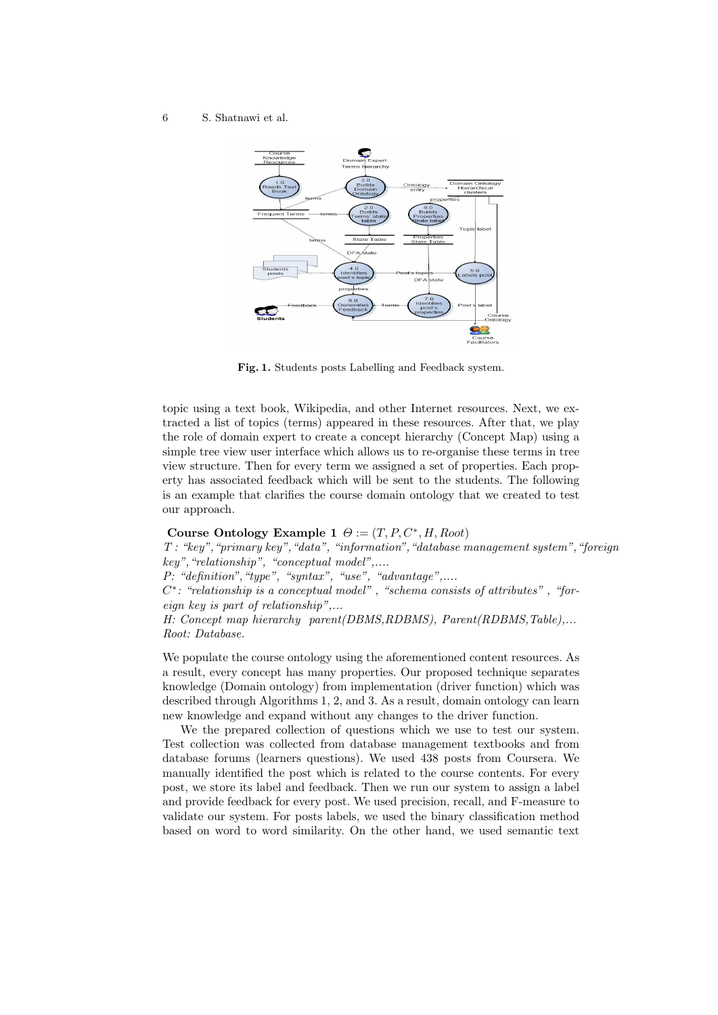#### 6 S. Shatnawi et al.



Fig. 1. Students posts Labelling and Feedback system.

topic using a text book, Wikipedia, and other Internet resources. Next, we extracted a list of topics (terms) appeared in these resources. After that, we play the role of domain expert to create a concept hierarchy (Concept Map) using a simple tree view user interface which allows us to re-organise these terms in tree view structure. Then for every term we assigned a set of properties. Each property has associated feedback which will be sent to the students. The following is an example that clarifies the course domain ontology that we created to test our approach.

## Course Ontology Example 1  $\Theta := (T, P, C^*, H, Root)$

T : "key","primary key","data", "information","database management system","foreign key","relationship", "conceptual model",.... P: "definition", "type", "syntax", "use", "advantage",.... C<sup>\*</sup>: "relationship is a conceptual model", "schema consists of attributes", "foreign key is part of relationship",... H: Concept map hierarchy parent(DBMS,RDBMS), Parent(RDBMS,Table),... Root: Database.

We populate the course ontology using the aforementioned content resources. As a result, every concept has many properties. Our proposed technique separates knowledge (Domain ontology) from implementation (driver function) which was described through Algorithms 1, 2, and 3. As a result, domain ontology can learn new knowledge and expand without any changes to the driver function.

We the prepared collection of questions which we use to test our system. Test collection was collected from database management textbooks and from database forums (learners questions). We used 438 posts from Coursera. We manually identified the post which is related to the course contents. For every post, we store its label and feedback. Then we run our system to assign a label and provide feedback for every post. We used precision, recall, and F-measure to validate our system. For posts labels, we used the binary classification method based on word to word similarity. On the other hand, we used semantic text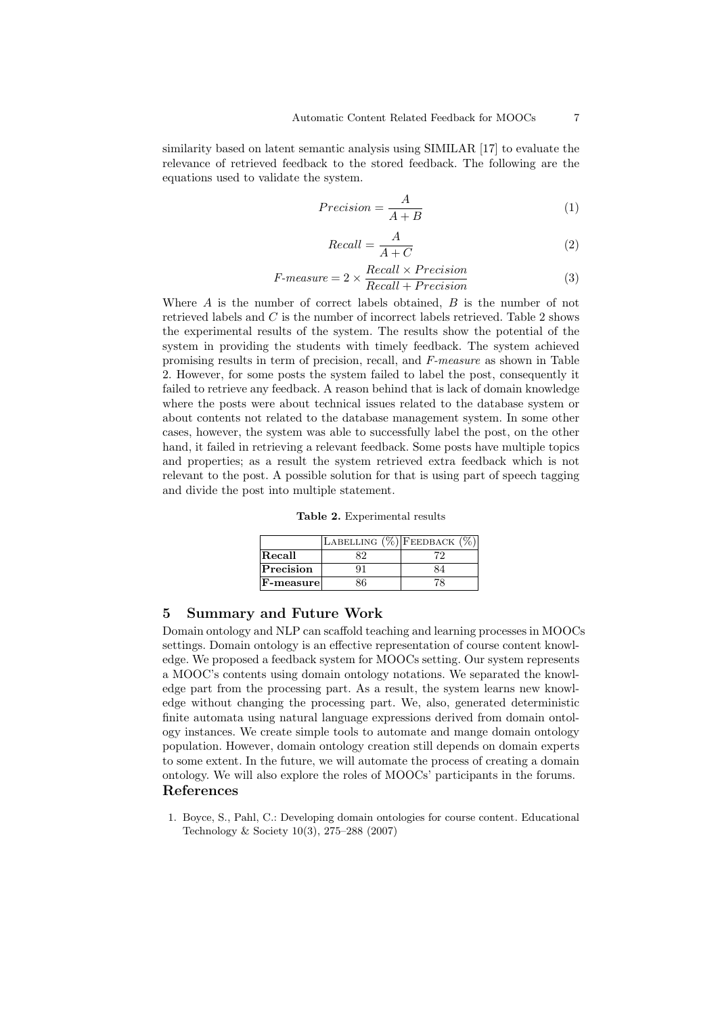similarity based on latent semantic analysis using SIMILAR [17] to evaluate the relevance of retrieved feedback to the stored feedback. The following are the equations used to validate the system.

$$
Precision = \frac{A}{A+B} \tag{1}
$$

$$
Recall = \frac{A}{A+C}
$$
\n<sup>(2)</sup>

$$
F-measure = 2 \times \frac{Recall \times Precision}{Recall + Precision}
$$
\n(3)

Where  $A$  is the number of correct labels obtained,  $B$  is the number of not retrieved labels and C is the number of incorrect labels retrieved. Table 2 shows the experimental results of the system. The results show the potential of the system in providing the students with timely feedback. The system achieved promising results in term of precision, recall, and F-measure as shown in Table 2. However, for some posts the system failed to label the post, consequently it failed to retrieve any feedback. A reason behind that is lack of domain knowledge where the posts were about technical issues related to the database system or about contents not related to the database management system. In some other cases, however, the system was able to successfully label the post, on the other hand, it failed in retrieving a relevant feedback. Some posts have multiple topics and properties; as a result the system retrieved extra feedback which is not relevant to the post. A possible solution for that is using part of speech tagging and divide the post into multiple statement.

Table 2. Experimental results

|           | LABELLING $(\%)$ FEEDBACK $(\%)$ |  |
|-----------|----------------------------------|--|
| Recall    |                                  |  |
| Precision |                                  |  |
| F-measure |                                  |  |

## 5 Summary and Future Work

Domain ontology and NLP can scaffold teaching and learning processes in MOOCs settings. Domain ontology is an effective representation of course content knowledge. We proposed a feedback system for MOOCs setting. Our system represents a MOOC's contents using domain ontology notations. We separated the knowledge part from the processing part. As a result, the system learns new knowledge without changing the processing part. We, also, generated deterministic finite automata using natural language expressions derived from domain ontology instances. We create simple tools to automate and mange domain ontology population. However, domain ontology creation still depends on domain experts to some extent. In the future, we will automate the process of creating a domain ontology. We will also explore the roles of MOOCs' participants in the forums. References

1. Boyce, S., Pahl, C.: Developing domain ontologies for course content. Educational Technology & Society 10(3), 275–288 (2007)